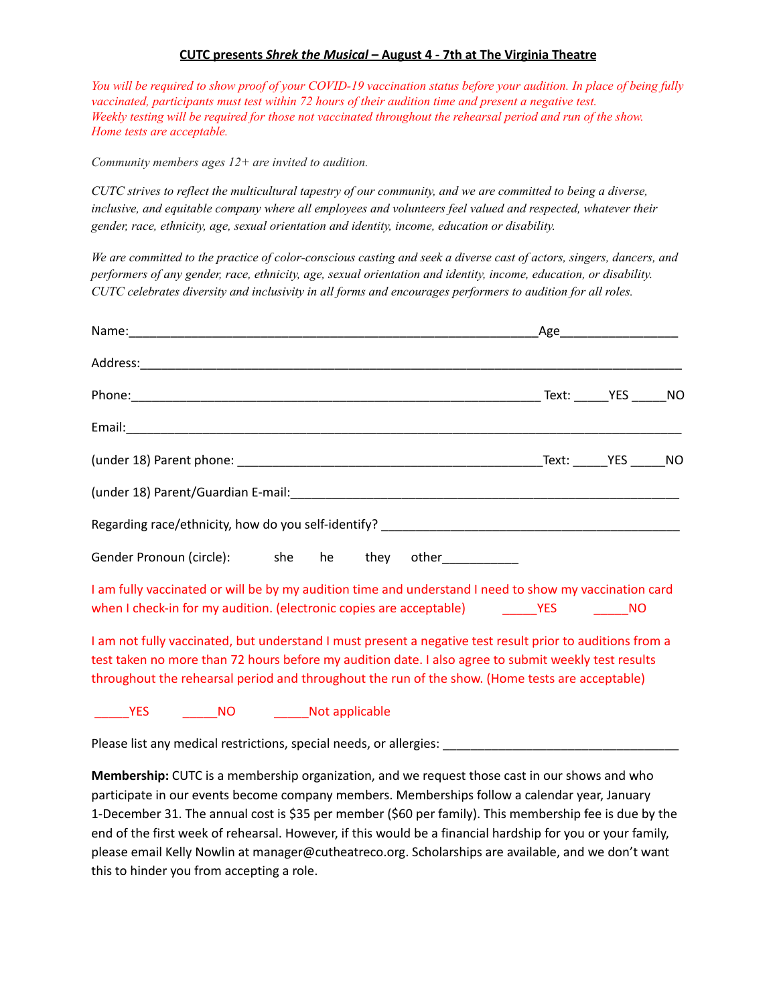## **CUTC presents** *Shrek the Musical* **– August 4 - 7th at The Virginia Theatre**

You will be required to show proof of your COVID-19 vaccination status before your audition. In place of being fully *vaccinated, participants must test within 72 hours of their audition time and present a negative test.* Weekly testing will be required for those not vaccinated throughout the rehearsal period and run of the show. *Home tests are acceptable.*

*Community members ages 12+ are invited to audition.*

CUTC strives to reflect the multicultural tapestry of our community, and we are committed to being a diverse, *inclusive, and equitable company where all employees and volunteers feel valued and respected, whatever their gender, race, ethnicity, age, sexual orientation and identity, income, education or disability.*

We are committed to the practice of color-conscious casting and seek a diverse cast of actors, singers, dancers, and *performers of any gender, race, ethnicity, age, sexual orientation and identity, income, education, or disability. CUTC celebrates diversity and inclusivity in all forms and encourages performers to audition for all roles.*

|                                                                                                                                                                                                                                                                                                                      |                                    |  |  |  | _Age_________________________ |  |
|----------------------------------------------------------------------------------------------------------------------------------------------------------------------------------------------------------------------------------------------------------------------------------------------------------------------|------------------------------------|--|--|--|-------------------------------|--|
|                                                                                                                                                                                                                                                                                                                      |                                    |  |  |  |                               |  |
|                                                                                                                                                                                                                                                                                                                      |                                    |  |  |  |                               |  |
|                                                                                                                                                                                                                                                                                                                      |                                    |  |  |  |                               |  |
|                                                                                                                                                                                                                                                                                                                      |                                    |  |  |  |                               |  |
|                                                                                                                                                                                                                                                                                                                      |                                    |  |  |  |                               |  |
|                                                                                                                                                                                                                                                                                                                      |                                    |  |  |  |                               |  |
| Gender Pronoun (circle): she he they other                                                                                                                                                                                                                                                                           |                                    |  |  |  |                               |  |
| I am fully vaccinated or will be by my audition time and understand I need to show my vaccination card<br>when I check-in for my audition. (electronic copies are acceptable) The MO                                                                                                                                 |                                    |  |  |  |                               |  |
| I am not fully vaccinated, but understand I must present a negative test result prior to auditions from a<br>test taken no more than 72 hours before my audition date. I also agree to submit weekly test results<br>throughout the rehearsal period and throughout the run of the show. (Home tests are acceptable) |                                    |  |  |  |                               |  |
| <b>YES</b>                                                                                                                                                                                                                                                                                                           | _______NO __________Not applicable |  |  |  |                               |  |

Please list any medical restrictions, special needs, or allergies:

**Membership:** CUTC is a membership organization, and we request those cast in our shows and who participate in our events become company members. Memberships follow a calendar year, January 1-December 31. The annual cost is \$35 per member (\$60 per family). This membership fee is due by the end of the first week of rehearsal. However, if this would be a financial hardship for you or your family, please email Kelly Nowlin at manager@cutheatreco.org. Scholarships are available, and we don't want this to hinder you from accepting a role.